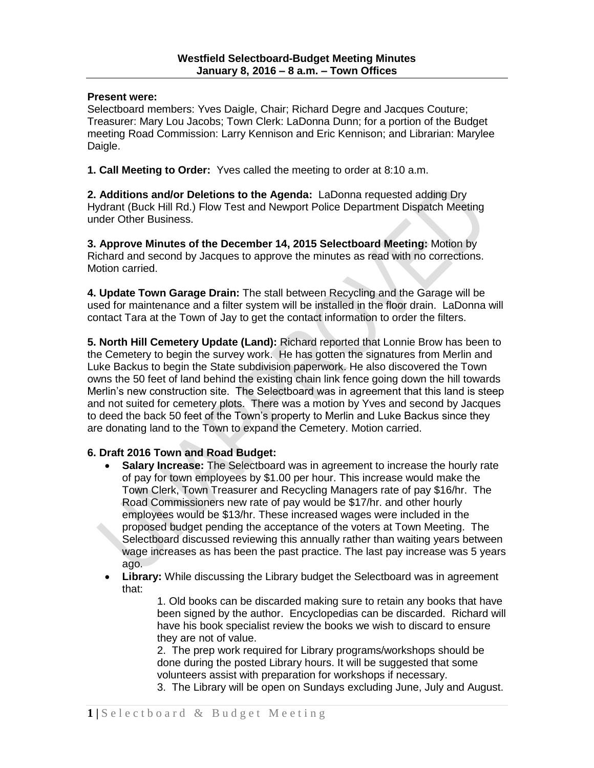## **Present were:**

Selectboard members: Yves Daigle, Chair; Richard Degre and Jacques Couture; Treasurer: Mary Lou Jacobs; Town Clerk: LaDonna Dunn; for a portion of the Budget meeting Road Commission: Larry Kennison and Eric Kennison; and Librarian: Marylee Daigle.

**1. Call Meeting to Order:** Yves called the meeting to order at 8:10 a.m.

**2. Additions and/or Deletions to the Agenda:** LaDonna requested adding Dry Hydrant (Buck Hill Rd.) Flow Test and Newport Police Department Dispatch Meeting under Other Business.

**3. Approve Minutes of the December 14, 2015 Selectboard Meeting:** Motion by Richard and second by Jacques to approve the minutes as read with no corrections. Motion carried.

**4. Update Town Garage Drain:** The stall between Recycling and the Garage will be used for maintenance and a filter system will be installed in the floor drain. LaDonna will contact Tara at the Town of Jay to get the contact information to order the filters.

**5. North Hill Cemetery Update (Land):** Richard reported that Lonnie Brow has been to the Cemetery to begin the survey work. He has gotten the signatures from Merlin and Luke Backus to begin the State subdivision paperwork. He also discovered the Town owns the 50 feet of land behind the existing chain link fence going down the hill towards Merlin's new construction site. The Selectboard was in agreement that this land is steep and not suited for cemetery plots. There was a motion by Yves and second by Jacques to deed the back 50 feet of the Town's property to Merlin and Luke Backus since they are donating land to the Town to expand the Cemetery. Motion carried.

## **6. Draft 2016 Town and Road Budget:**

- **Salary Increase:** The Selectboard was in agreement to increase the hourly rate of pay for town employees by \$1.00 per hour. This increase would make the Town Clerk, Town Treasurer and Recycling Managers rate of pay \$16/hr. The Road Commissioners new rate of pay would be \$17/hr. and other hourly employees would be \$13/hr. These increased wages were included in the proposed budget pending the acceptance of the voters at Town Meeting. The Selectboard discussed reviewing this annually rather than waiting years between wage increases as has been the past practice. The last pay increase was 5 years ago.
- **Library:** While discussing the Library budget the Selectboard was in agreement that:

1. Old books can be discarded making sure to retain any books that have been signed by the author. Encyclopedias can be discarded. Richard will have his book specialist review the books we wish to discard to ensure they are not of value.

2. The prep work required for Library programs/workshops should be done during the posted Library hours. It will be suggested that some volunteers assist with preparation for workshops if necessary.

3. The Library will be open on Sundays excluding June, July and August.